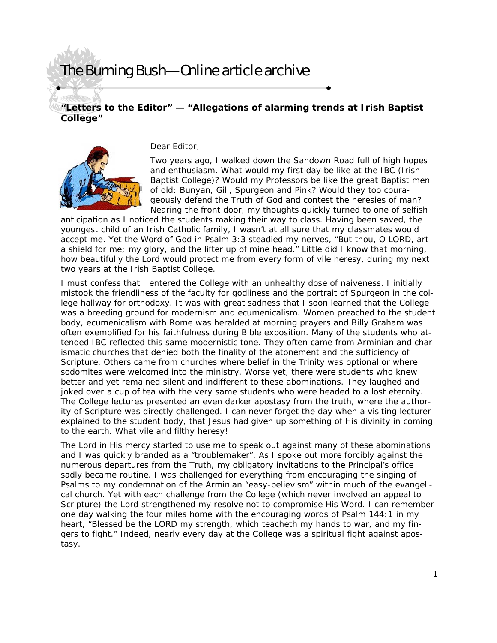## The Burning Bush—Online article archive

## **"Letters to the Editor" — "Allegations of alarming trends at Irish Baptist College"**



Dear Editor,

Two years ago, I walked down the Sandown Road full of high hopes and enthusiasm. What would my first day be like at the IBC (Irish Baptist College)? Would my Professors be like the great Baptist men of old: Bunyan, Gill, Spurgeon and Pink? Would they too courageously defend the Truth of God and contest the heresies of man? Nearing the front door, my thoughts quickly turned to one of selfish

anticipation as I noticed the students making their way to class. Having been saved, the youngest child of an Irish Catholic family, I wasn't at all sure that my classmates would accept me. Yet the Word of God in Psalm 3:3 steadied my nerves, "But thou, O LORD, art a shield for me; my glory, and the lifter up of mine head." Little did I know that morning, how beautifully the Lord would protect me from every form of vile heresy, during my next two years at the Irish Baptist College.

I must confess that I entered the College with an unhealthy dose of naiveness. I initially mistook the friendliness of the faculty for godliness and the portrait of Spurgeon in the college hallway for orthodoxy. It was with great sadness that I soon learned that the College was a breeding ground for modernism and ecumenicalism. Women preached to the student body, ecumenicalism with Rome was heralded at morning prayers and Billy Graham was often exemplified for his faithfulness during Bible exposition. Many of the students who attended IBC reflected this same modernistic tone. They often came from Arminian and charismatic churches that denied both the finality of the atonement and the sufficiency of Scripture. Others came from churches where belief in the Trinity was optional or where sodomites were welcomed into the ministry. Worse yet, there were students who knew better and yet remained silent and indifferent to these abominations. They laughed and joked over a cup of tea with the very same students who were headed to a lost eternity. The College lectures presented an even darker apostasy from the truth, where the authority of Scripture was directly challenged. I can never forget the day when a visiting lecturer explained to the student body, that Jesus had given up something of His divinity in coming to the earth. What vile and filthy heresy!

The Lord in His mercy started to use me to speak out against many of these abominations and I was quickly branded as a "troublemaker". As I spoke out more forcibly against the numerous departures from the Truth, my obligatory invitations to the Principal's office sadly became routine. I was challenged for everything from encouraging the singing of Psalms to my condemnation of the Arminian "easy-believism" within much of the evangelical church. Yet with each challenge from the College (which never involved an appeal to Scripture) the Lord strengthened my resolve not to compromise His Word. I can remember one day walking the four miles home with the encouraging words of Psalm 144:1 in my heart, "Blessed be the LORD my strength, which teacheth my hands to war, and my fingers to fight." Indeed, nearly every day at the College was a spiritual fight against apostasy.